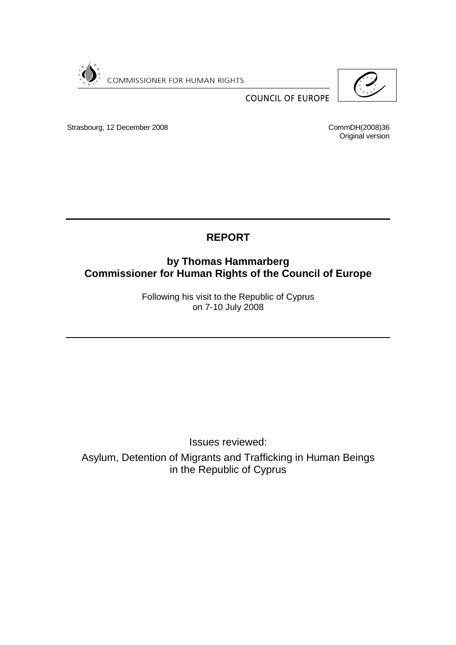

Strasbourg, 12 December 2008

CommDH(2008)36 Original version

**COUNCIL OF EUROPE** 

# **REPORT**

# **by Thomas Hammarberg Commissioner for Human Rights of the Council of Europe**

Following his visit to the Republic of Cyprus on 7-10 July 2008

Issues reviewed:

Asylum, Detention of Migrants and Trafficking in Human Beings in the Republic of Cyprus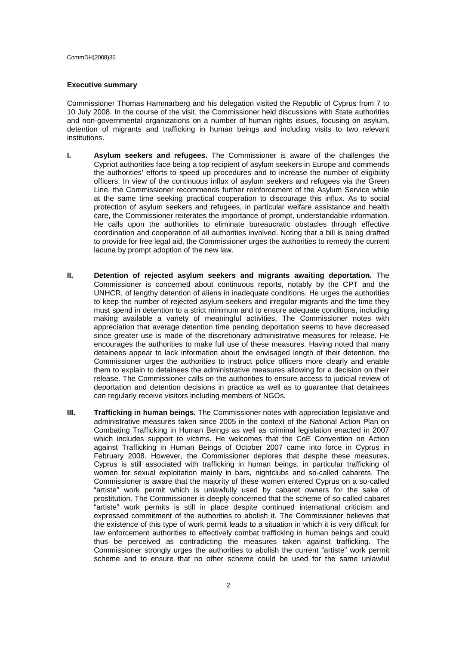#### **Executive summary**

Commissioner Thomas Hammarberg and his delegation visited the Republic of Cyprus from 7 to 10 July 2008. In the course of the visit, the Commissioner held discussions with State authorities and non-governmental organizations on a number of human rights issues, focusing on asylum, detention of migrants and trafficking in human beings and including visits to two relevant institutions.

- **I. Asylum seekers and refugees.** The Commissioner is aware of the challenges the Cypriot authorities face being a top recipient of asylum seekers in Europe and commends the authorities' efforts to speed up procedures and to increase the number of eligibility officers. In view of the continuous influx of asylum seekers and refugees via the Green Line, the Commissioner recommends further reinforcement of the Asylum Service while at the same time seeking practical cooperation to discourage this influx. As to social protection of asylum seekers and refugees, in particular welfare assistance and health care, the Commissioner reiterates the importance of prompt, understandable information. He calls upon the authorities to eliminate bureaucratic obstacles through effective coordination and cooperation of all authorities involved. Noting that a bill is being drafted to provide for free legal aid, the Commissioner urges the authorities to remedy the current lacuna by prompt adoption of the new law.
- **II. Detention of rejected asylum seekers and migrants awaiting deportation.** The Commissioner is concerned about continuous reports, notably by the CPT and the UNHCR, of lengthy detention of aliens in inadequate conditions. He urges the authorities to keep the number of rejected asylum seekers and irregular migrants and the time they must spend in detention to a strict minimum and to ensure adequate conditions, including making available a variety of meaningful activities. The Commissioner notes with appreciation that average detention time pending deportation seems to have decreased since greater use is made of the discretionary administrative measures for release. He encourages the authorities to make full use of these measures. Having noted that many detainees appear to lack information about the envisaged length of their detention, the Commissioner urges the authorities to instruct police officers more clearly and enable them to explain to detainees the administrative measures allowing for a decision on their release. The Commissioner calls on the authorities to ensure access to judicial review of deportation and detention decisions in practice as well as to guarantee that detainees can regularly receive visitors including members of NGOs.
- **III. Trafficking in human beings.** The Commissioner notes with appreciation legislative and administrative measures taken since 2005 in the context of the National Action Plan on Combating Trafficking in Human Beings as well as criminal legislation enacted in 2007 which includes support to victims. He welcomes that the CoE Convention on Action against Trafficking in Human Beings of October 2007 came into force in Cyprus in February 2008. However, the Commissioner deplores that despite these measures, Cyprus is still associated with trafficking in human beings, in particular trafficking of women for sexual exploitation mainly in bars, nightclubs and so-called cabarets. The Commissioner is aware that the majority of these women entered Cyprus on a so-called "artiste" work permit which is unlawfully used by cabaret owners for the sake of prostitution. The Commissioner is deeply concerned that the scheme of so-called cabaret "artiste" work permits is still in place despite continued international criticism and expressed commitment of the authorities to abolish it. The Commissioner believes that the existence of this type of work permit leads to a situation in which it is very difficult for law enforcement authorities to effectively combat trafficking in human beings and could thus be perceived as contradicting the measures taken against trafficking. The Commissioner strongly urges the authorities to abolish the current "artiste" work permit scheme and to ensure that no other scheme could be used for the same unlawful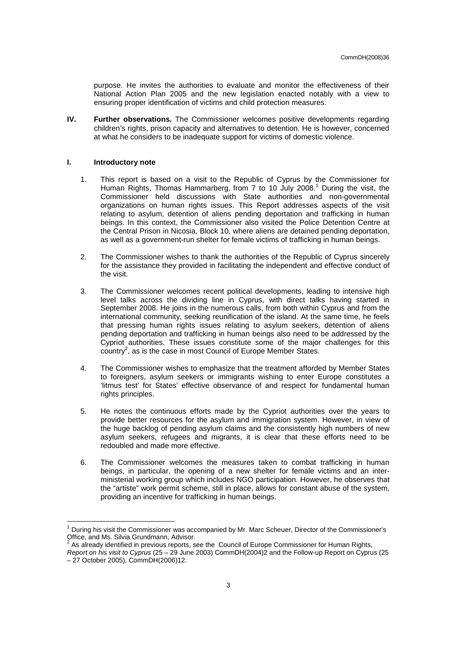purpose. He invites the authorities to evaluate and monitor the effectiveness of their National Action Plan 2005 and the new legislation enacted notably with a view to ensuring proper identification of victims and child protection measures.

**IV. Further observations.** The Commissioner welcomes positive developments regarding children's rights, prison capacity and alternatives to detention. He is however, concerned at what he considers to be inadequate support for victims of domestic violence.

#### **I. Introductory note**

- 1. This report is based on a visit to the Republic of Cyprus by the Commissioner for Human Rights, Thomas Hammarberg, from 7 to 10 July 2008.<sup>1</sup> During the visit, the Commissioner held discussions with State authorities and non-governmental organizations on human rights issues. This Report addresses aspects of the visit relating to asylum, detention of aliens pending deportation and trafficking in human beings. In this context, the Commissioner also visited the Police Detention Centre at the Central Prison in Nicosia, Block 10, where aliens are detained pending deportation, as well as a government-run shelter for female victims of trafficking in human beings.
- 2. The Commissioner wishes to thank the authorities of the Republic of Cyprus sincerely for the assistance they provided in facilitating the independent and effective conduct of the visit.
- 3. The Commissioner welcomes recent political developments, leading to intensive high level talks across the dividing line in Cyprus, with direct talks having started in September 2008. He joins in the numerous calls, from both within Cyprus and from the international community, seeking reunification of the island. At the same time, he feels that pressing human rights issues relating to asylum seekers, detention of aliens pending deportation and trafficking in human beings also need to be addressed by the Cypriot authorities. These issues constitute some of the major challenges for this  $\frac{1}{2}$  country<sup>2</sup>, as is the case in most Council of Europe Member States.
- 4. The Commissioner wishes to emphasize that the treatment afforded by Member States to foreigners, asylum seekers or immigrants wishing to enter Europe constitutes a 'litmus test' for States' effective observance of and respect for fundamental human rights principles.
- 5. He notes the continuous efforts made by the Cypriot authorities over the years to provide better resources for the asylum and immigration system. However, in view of the huge backlog of pending asylum claims and the consistently high numbers of new asylum seekers, refugees and migrants, it is clear that these efforts need to be redoubled and made more effective.
- 6. The Commissioner welcomes the measures taken to combat trafficking in human beings, in particular, the opening of a new shelter for female victims and an interministerial working group which includes NGO participation. However, he observes that the "artiste" work permit scheme, still in place, allows for constant abuse of the system, providing an incentive for trafficking in human beings.

<sup>1</sup> During his visit the Commissioner was accompanied by Mr. Marc Scheuer, Director of the Commissioner's Office, and Ms. Silvia Grundmann, Advisor.

<sup>2</sup> As already identified in previous reports, see the Council of Europe Commissioner for Human Rights.

Report on his visit to Cyprus (25 – 29 June 2003) CommDH(2004)2 and the Follow-up Report on Cyprus (25 – 27 October 2005), CommDH(2006)12.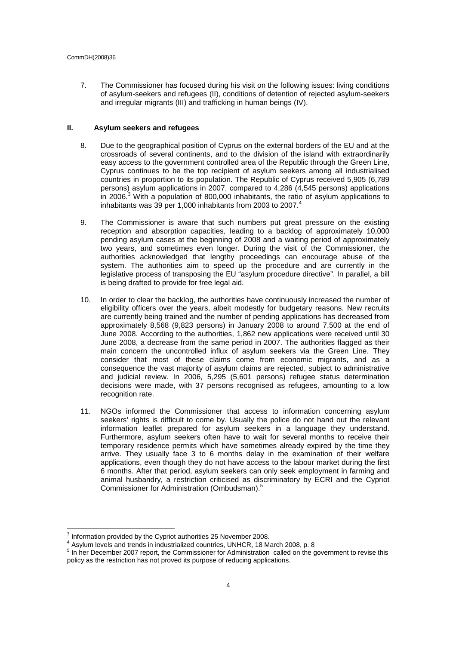7. The Commissioner has focused during his visit on the following issues: living conditions of asylum-seekers and refugees (II), conditions of detention of rejected asylum-seekers and irregular migrants (III) and trafficking in human beings (IV).

### **II. Asylum seekers and refugees**

- 8. Due to the geographical position of Cyprus on the external borders of the EU and at the crossroads of several continents, and to the division of the island with extraordinarily easy access to the government controlled area of the Republic through the Green Line, Cyprus continues to be the top recipient of asylum seekers among all industrialised countries in proportion to its population. The Republic of Cyprus received 5,905 (6,789 persons) asylum applications in 2007, compared to 4,286 (4,545 persons) applications in 2006.<sup>3</sup> With a population of 800,000 inhabitants, the ratio of asylum applications to inhabitants was 39 per 1,000 inhabitants from 2003 to 2007. $4$
- 9. The Commissioner is aware that such numbers put great pressure on the existing reception and absorption capacities, leading to a backlog of approximately 10,000 pending asylum cases at the beginning of 2008 and a waiting period of approximately two years, and sometimes even longer. During the visit of the Commissioner, the authorities acknowledged that lengthy proceedings can encourage abuse of the system. The authorities aim to speed up the procedure and are currently in the legislative process of transposing the EU "asylum procedure directive". In parallel, a bill is being drafted to provide for free legal aid.
- 10. In order to clear the backlog, the authorities have continuously increased the number of eligibility officers over the years, albeit modestly for budgetary reasons. New recruits are currently being trained and the number of pending applications has decreased from approximately 8,568 (9,823 persons) in January 2008 to around 7,500 at the end of June 2008. According to the authorities, 1,862 new applications were received until 30 June 2008, a decrease from the same period in 2007. The authorities flagged as their main concern the uncontrolled influx of asylum seekers via the Green Line. They consider that most of these claims come from economic migrants, and as a consequence the vast majority of asylum claims are rejected, subject to administrative and judicial review. In 2006, 5,295 (5,601 persons) refugee status determination decisions were made, with 37 persons recognised as refugees, amounting to a low recognition rate.
- 11. NGOs informed the Commissioner that access to information concerning asylum seekers' rights is difficult to come by. Usually the police do not hand out the relevant information leaflet prepared for asylum seekers in a language they understand. Furthermore, asylum seekers often have to wait for several months to receive their temporary residence permits which have sometimes already expired by the time they arrive. They usually face 3 to 6 months delay in the examination of their welfare applications, even though they do not have access to the labour market during the first 6 months. After that period, asylum seekers can only seek employment in farming and animal husbandry, a restriction criticised as discriminatory by ECRI and the Cypriot Commissioner for Administration (Ombudsman).<sup>5</sup>

<sup>3</sup> Information provided by the Cypriot authorities 25 November 2008.

 $<sup>4</sup>$  Asylum levels and trends in industrialized countries, UNHCR, 18 March 2008, p. 8</sup>

<sup>&</sup>lt;sup>5</sup> In her December 2007 report, the Commissioner for Administration called on the government to revise this policy as the restriction has not proved its purpose of reducing applications.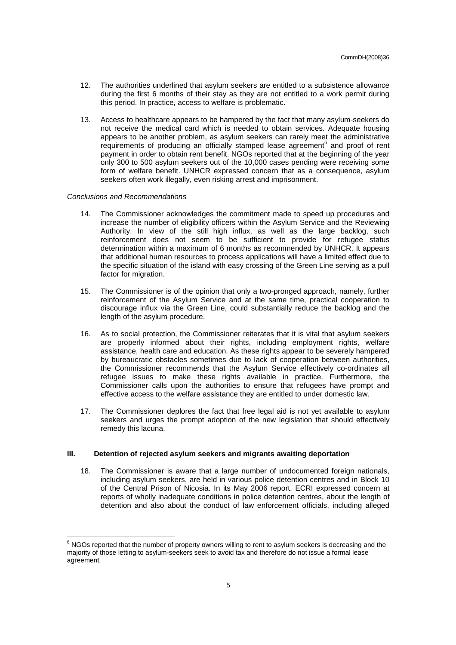- 12. The authorities underlined that asylum seekers are entitled to a subsistence allowance during the first 6 months of their stay as they are not entitled to a work permit during this period. In practice, access to welfare is problematic.
- 13. Access to healthcare appears to be hampered by the fact that many asylum-seekers do not receive the medical card which is needed to obtain services. Adequate housing appears to be another problem, as asylum seekers can rarely meet the administrative requirements of producing an officially stamped lease agreement<sup>6</sup> and proof of rent payment in order to obtain rent benefit. NGOs reported that at the beginning of the year only 300 to 500 asylum seekers out of the 10,000 cases pending were receiving some form of welfare benefit. UNHCR expressed concern that as a consequence, asylum seekers often work illegally, even risking arrest and imprisonment.

# Conclusions and Recommendations

- 14. The Commissioner acknowledges the commitment made to speed up procedures and increase the number of eligibility officers within the Asylum Service and the Reviewing Authority. In view of the still high influx, as well as the large backlog, such reinforcement does not seem to be sufficient to provide for refugee status determination within a maximum of 6 months as recommended by UNHCR. It appears that additional human resources to process applications will have a limited effect due to the specific situation of the island with easy crossing of the Green Line serving as a pull factor for migration.
- 15. The Commissioner is of the opinion that only a two-pronged approach, namely, further reinforcement of the Asylum Service and at the same time, practical cooperation to discourage influx via the Green Line, could substantially reduce the backlog and the length of the asylum procedure.
- 16. As to social protection, the Commissioner reiterates that it is vital that asylum seekers are properly informed about their rights, including employment rights, welfare assistance, health care and education. As these rights appear to be severely hampered by bureaucratic obstacles sometimes due to lack of cooperation between authorities, the Commissioner recommends that the Asylum Service effectively co-ordinates all refugee issues to make these rights available in practice. Furthermore, the Commissioner calls upon the authorities to ensure that refugees have prompt and effective access to the welfare assistance they are entitled to under domestic law.
- 17. The Commissioner deplores the fact that free legal aid is not yet available to asylum seekers and urges the prompt adoption of the new legislation that should effectively remedy this lacuna.

# **III. Detention of rejected asylum seekers and migrants awaiting deportation**

18. The Commissioner is aware that a large number of undocumented foreign nationals, including asylum seekers, are held in various police detention centres and in Block 10 of the Central Prison of Nicosia. In its May 2006 report, ECRI expressed concern at reports of wholly inadequate conditions in police detention centres, about the length of detention and also about the conduct of law enforcement officials, including alleged

 6 NGOs reported that the number of property owners willing to rent to asylum seekers is decreasing and the majority of those letting to asylum-seekers seek to avoid tax and therefore do not issue a formal lease agreement.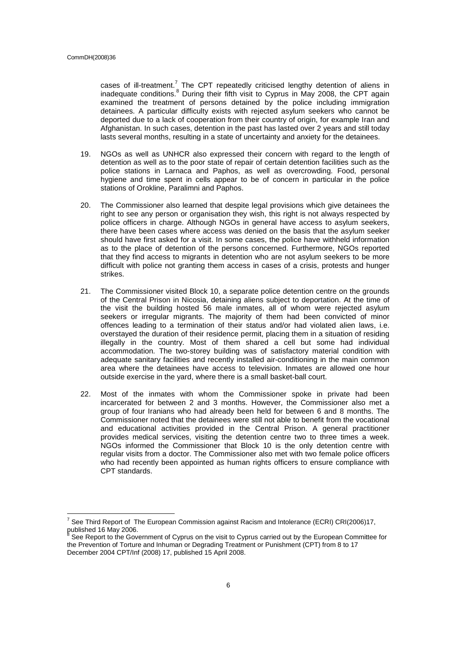cases of ill-treatment.<sup>7</sup> The CPT repeatedly criticised lengthy detention of aliens in inadequate conditions.<sup>8</sup> During their fifth visit to Cyprus in May 2008, the CPT again examined the treatment of persons detained by the police including immigration detainees. A particular difficulty exists with rejected asylum seekers who cannot be deported due to a lack of cooperation from their country of origin, for example Iran and Afghanistan. In such cases, detention in the past has lasted over 2 years and still today lasts several months, resulting in a state of uncertainty and anxiety for the detainees.

- 19. NGOs as well as UNHCR also expressed their concern with regard to the length of detention as well as to the poor state of repair of certain detention facilities such as the police stations in Larnaca and Paphos, as well as overcrowding. Food, personal hygiene and time spent in cells appear to be of concern in particular in the police stations of Orokline, Paralimni and Paphos.
- 20. The Commissioner also learned that despite legal provisions which give detainees the right to see any person or organisation they wish, this right is not always respected by police officers in charge. Although NGOs in general have access to asylum seekers, there have been cases where access was denied on the basis that the asylum seeker should have first asked for a visit. In some cases, the police have withheld information as to the place of detention of the persons concerned. Furthermore, NGOs reported that they find access to migrants in detention who are not asylum seekers to be more difficult with police not granting them access in cases of a crisis, protests and hunger strikes.
- 21. The Commissioner visited Block 10, a separate police detention centre on the grounds of the Central Prison in Nicosia, detaining aliens subject to deportation. At the time of the visit the building hosted 56 male inmates, all of whom were rejected asylum seekers or irregular migrants. The majority of them had been convicted of minor offences leading to a termination of their status and/or had violated alien laws, i.e. overstayed the duration of their residence permit, placing them in a situation of residing illegally in the country. Most of them shared a cell but some had individual accommodation. The two-storey building was of satisfactory material condition with adequate sanitary facilities and recently installed air-conditioning in the main common area where the detainees have access to television. Inmates are allowed one hour outside exercise in the yard, where there is a small basket-ball court.
- 22. Most of the inmates with whom the Commissioner spoke in private had been incarcerated for between 2 and 3 months. However, the Commissioner also met a group of four Iranians who had already been held for between 6 and 8 months. The Commissioner noted that the detainees were still not able to benefit from the vocational and educational activities provided in the Central Prison. A general practitioner provides medical services, visiting the detention centre two to three times a week. NGOs informed the Commissioner that Block 10 is the only detention centre with regular visits from a doctor. The Commissioner also met with two female police officers who had recently been appointed as human rights officers to ensure compliance with CPT standards.

<sup>&</sup>lt;sup>7</sup> See Third Report of The European Commission against Racism and Intolerance (ECRI) CRI(2006)17, published 16 May 2006.<br><sup>8</sup> See Benert to the Cove

See Report to the Government of Cyprus on the visit to Cyprus carried out by the European Committee for the Prevention of Torture and Inhuman or Degrading Treatment or Punishment (CPT) from 8 to 17 December 2004 CPT/Inf (2008) 17, published 15 April 2008.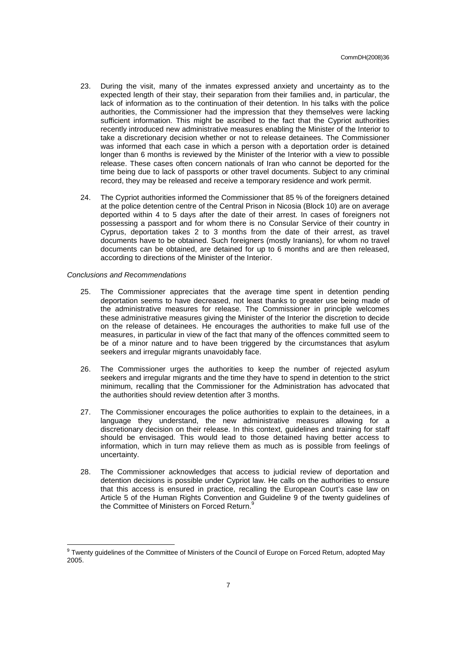- 23. During the visit, many of the inmates expressed anxiety and uncertainty as to the expected length of their stay, their separation from their families and, in particular, the lack of information as to the continuation of their detention. In his talks with the police authorities, the Commissioner had the impression that they themselves were lacking sufficient information. This might be ascribed to the fact that the Cypriot authorities recently introduced new administrative measures enabling the Minister of the Interior to take a discretionary decision whether or not to release detainees. The Commissioner was informed that each case in which a person with a deportation order is detained longer than 6 months is reviewed by the Minister of the Interior with a view to possible release. These cases often concern nationals of Iran who cannot be deported for the time being due to lack of passports or other travel documents. Subject to any criminal record, they may be released and receive a temporary residence and work permit.
- 24. The Cypriot authorities informed the Commissioner that 85 % of the foreigners detained at the police detention centre of the Central Prison in Nicosia (Block 10) are on average deported within 4 to 5 days after the date of their arrest. In cases of foreigners not possessing a passport and for whom there is no Consular Service of their country in Cyprus, deportation takes 2 to 3 months from the date of their arrest, as travel documents have to be obtained. Such foreigners (mostly Iranians), for whom no travel documents can be obtained, are detained for up to 6 months and are then released, according to directions of the Minister of the Interior.

#### Conclusions and Recommendations

- 25. The Commissioner appreciates that the average time spent in detention pending deportation seems to have decreased, not least thanks to greater use being made of the administrative measures for release. The Commissioner in principle welcomes these administrative measures giving the Minister of the Interior the discretion to decide on the release of detainees. He encourages the authorities to make full use of the measures, in particular in view of the fact that many of the offences committed seem to be of a minor nature and to have been triggered by the circumstances that asylum seekers and irregular migrants unavoidably face.
- 26. The Commissioner urges the authorities to keep the number of rejected asylum seekers and irregular migrants and the time they have to spend in detention to the strict minimum, recalling that the Commissioner for the Administration has advocated that the authorities should review detention after 3 months.
- 27. The Commissioner encourages the police authorities to explain to the detainees, in a language they understand, the new administrative measures allowing for a discretionary decision on their release. In this context, guidelines and training for staff should be envisaged. This would lead to those detained having better access to information, which in turn may relieve them as much as is possible from feelings of uncertainty.
- 28. The Commissioner acknowledges that access to judicial review of deportation and detention decisions is possible under Cypriot law. He calls on the authorities to ensure that this access is ensured in practice, recalling the European Court's case law on Article 5 of the Human Rights Convention and Guideline 9 of the twenty guidelines of the Committee of Ministers on Forced Return.<sup>9</sup>

<sup>&</sup>lt;sup>9</sup> Twenty guidelines of the Committee of Ministers of the Council of Europe on Forced Return, adopted May 2005.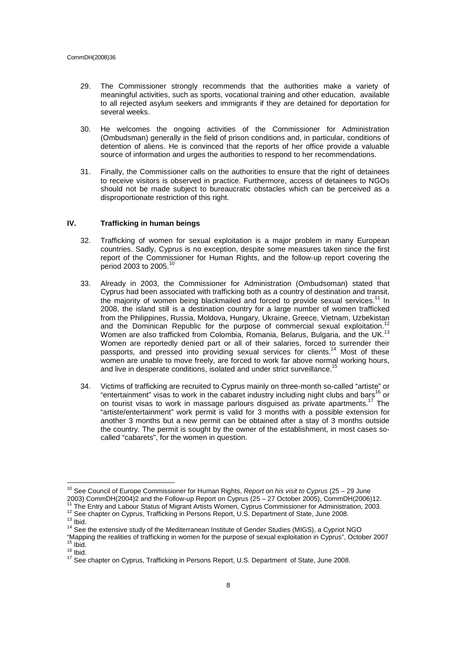- 29. The Commissioner strongly recommends that the authorities make a variety of meaningful activities, such as sports, vocational training and other education, available to all rejected asylum seekers and immigrants if they are detained for deportation for several weeks.
- 30. He welcomes the ongoing activities of the Commissioner for Administration (Ombudsman) generally in the field of prison conditions and, in particular, conditions of detention of aliens. He is convinced that the reports of her office provide a valuable source of information and urges the authorities to respond to her recommendations.
- 31. Finally, the Commissioner calls on the authorities to ensure that the right of detainees to receive visitors is observed in practice. Furthermore, access of detainees to NGOs should not be made subject to bureaucratic obstacles which can be perceived as a disproportionate restriction of this right.

# **IV. Trafficking in human beings**

- 32. Trafficking of women for sexual exploitation is a major problem in many European countries. Sadly, Cyprus is no exception, despite some measures taken since the first report of the Commissioner for Human Rights, and the follow-up report covering the period 2003 to 2005.<sup>10</sup>
- 33. Already in 2003, the Commissioner for Administration (Ombudsoman) stated that Cyprus had been associated with trafficking both as a country of destination and transit, the majority of women being blackmailed and forced to provide sexual services.<sup>11</sup> In 2008, the island still is a destination country for a large number of women trafficked from the Philippines, Russia, Moldova, Hungary, Ukraine, Greece, Vietnam, Uzbekistan and the Dominican Republic for the purpose of commercial sexual exploitation. Women are also trafficked from Colombia, Romania, Belarus, Bulgaria, and the UK.<sup>13</sup> Women are reportedly denied part or all of their salaries, forced to surrender their passports, and pressed into providing sexual services for clients.<sup>14</sup> Most of these women are unable to move freely, are forced to work far above normal working hours, and live in desperate conditions, isolated and under strict surveillance.<sup>15</sup>
- 34. Victims of trafficking are recruited to Cyprus mainly on three-month so-called "artiste" or "entertainment" visas to work in the cabaret industry including night clubs and bars<sup>16</sup> or on tourist visas to work in massage parlours disguised as private apartments.<sup>17</sup> The "artiste/entertainment" work permit is valid for 3 months with a possible extension for another 3 months but a new permit can be obtained after a stay of 3 months outside the country. The permit is sought by the owner of the establishment, in most cases socalled "cabarets", for the women in question.

<sup>&</sup>lt;sup>10</sup> See Council of Europe Commissioner for Human Rights, Report on his visit to Cyprus (25 – 29 June 2003) CommDH(2004)2 and the Follow-up Report on Cyprus (25 – 27 October 2005), CommDH(2006)12.

<sup>&</sup>lt;sup>11</sup> The Entry and Labour Status of Migrant Artists Women, Cyprus Commissioner for Administration, 2003. <sup>12</sup> See chapter on Cyprus, Trafficking in Persons Report, U.S. Department of State, June 2008.

 $13$  Ibid.

<sup>&</sup>lt;sup>14</sup> See the extensive study of the Mediterranean Institute of Gender Studies (MIGS), a Cypriot NGO

<sup>&</sup>quot;Mapping the realities of trafficking in women for the purpose of sexual exploitation in Cyprus", October 2007  $15$  Ibid.

 $16$  Ibid.

<sup>&</sup>lt;sup>17</sup> See chapter on Cyprus, Trafficking in Persons Report, U.S. Department of State, June 2008.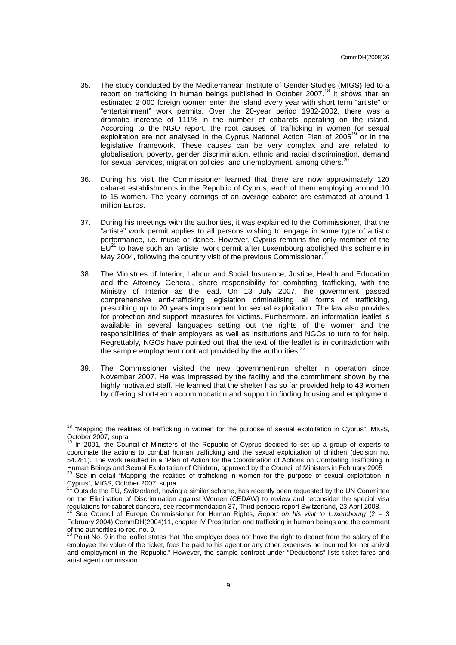- 35. The study conducted by the Mediterranean Institute of Gender Studies (MIGS) led to a report on trafficking in human beings published in October 2007.<sup>18</sup> It shows that an estimated 2 000 foreign women enter the island every year with short term "artiste" or "entertainment" work permits. Over the 20-year period 1982-2002, there was a dramatic increase of 111% in the number of cabarets operating on the island. According to the NGO report, the root causes of trafficking in women for sexual exploitation are not analysed in the Cyprus National Action Plan of 2005<sup>19</sup> or in the legislative framework. These causes can be very complex and are related to globalisation, poverty, gender discrimination, ethnic and racial discrimination, demand for sexual services, migration policies, and unemployment, among others.<sup>20</sup>
- 36. During his visit the Commissioner learned that there are now approximately 120 cabaret establishments in the Republic of Cyprus, each of them employing around 10 to 15 women. The yearly earnings of an average cabaret are estimated at around 1 million Euros.
- 37. During his meetings with the authorities, it was explained to the Commissioner, that the "artiste" work permit applies to all persons wishing to engage in some type of artistic performance, i.e. music or dance. However, Cyprus remains the only member of the  $EU^{21}$  to have such an "artiste" work permit after Luxembourg abolished this scheme in May 2004, following the country visit of the previous Commissioner. $^{22}$
- 38. The Ministries of Interior, Labour and Social Insurance, Justice, Health and Education and the Attorney General, share responsibility for combating trafficking, with the Ministry of Interior as the lead. On 13 July 2007, the government passed comprehensive anti-trafficking legislation criminalising all forms of trafficking, prescribing up to 20 years imprisonment for sexual exploitation. The law also provides for protection and support measures for victims. Furthermore, an information leaflet is available in several languages setting out the rights of the women and the responsibilities of their employers as well as institutions and NGOs to turn to for help. Regrettably, NGOs have pointed out that the text of the leaflet is in contradiction with the sample employment contract provided by the authorities. $2<sup>2</sup>$
- 39. The Commissioner visited the new government-run shelter in operation since November 2007. He was impressed by the facility and the commitment shown by the highly motivated staff. He learned that the shelter has so far provided help to 43 women by offering short-term accommodation and support in finding housing and employment.

<sup>&</sup>lt;sup>18</sup> "Mapping the realities of trafficking in women for the purpose of sexual exploitation in Cyprus", MIGS, October 2007, supra.

In 2001, the Council of Ministers of the Republic of Cyprus decided to set up a group of experts to coordinate the actions to combat human trafficking and the sexual exploitation of children (decision no. 54.281). The work resulted in a "Plan of Action for the Coordination of Actions on Combating Trafficking in Human Beings and Sexual Exploitation of Children, approved by the Council of Ministers in February 2005

See in detail "Mapping the realities of trafficking in women for the purpose of sexual exploitation in Cyprus", MIGS, October 2007, supra.

<sup>21</sup> Outside the EU, Switzerland, having a similar scheme, has recently been requested by the UN Committee on the Elimination of Discrimination against Women (CEDAW) to review and reconsider the special visa regulations for cabaret dancers, see recommendation 37, Third periodic report Switzerland, 23 April 2008.

See Council of Europe Commissioner for Human Rights, Report on his visit to Luxembourg ( $2 - 3$ ) February 2004) CommDH(2004)11, chapter IV Prostitution and trafficking in human beings and the comment of the authorities to rec. no. 9.<br><sup>23</sup> Point No. 9 in the leaflet states that "the employer does not have the right to deduct from the salary of the

employee the value of the ticket, fees he paid to his agent or any other expenses he incurred for her arrival and employment in the Republic." However, the sample contract under "Deductions" lists ticket fares and artist agent commission.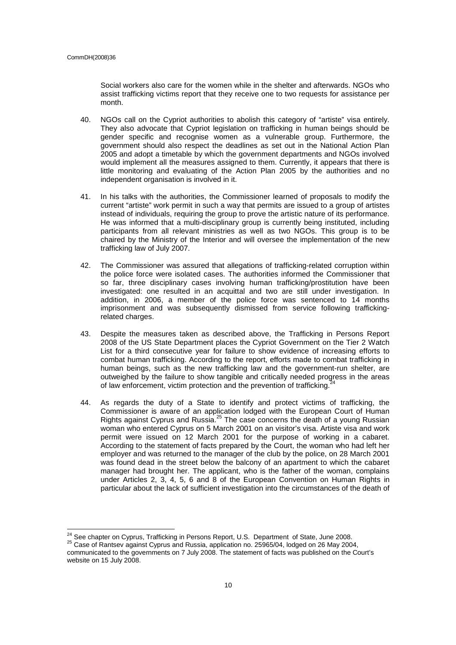l

Social workers also care for the women while in the shelter and afterwards. NGOs who assist trafficking victims report that they receive one to two requests for assistance per month.

- 40. NGOs call on the Cypriot authorities to abolish this category of "artiste" visa entirely. They also advocate that Cypriot legislation on trafficking in human beings should be gender specific and recognise women as a vulnerable group. Furthermore, the government should also respect the deadlines as set out in the National Action Plan 2005 and adopt a timetable by which the government departments and NGOs involved would implement all the measures assigned to them. Currently, it appears that there is little monitoring and evaluating of the Action Plan 2005 by the authorities and no independent organisation is involved in it.
- 41. In his talks with the authorities, the Commissioner learned of proposals to modify the current "artiste" work permit in such a way that permits are issued to a group of artistes instead of individuals, requiring the group to prove the artistic nature of its performance. He was informed that a multi-disciplinary group is currently being instituted, including participants from all relevant ministries as well as two NGOs. This group is to be chaired by the Ministry of the Interior and will oversee the implementation of the new trafficking law of July 2007.
- 42. The Commissioner was assured that allegations of trafficking-related corruption within the police force were isolated cases. The authorities informed the Commissioner that so far, three disciplinary cases involving human trafficking/prostitution have been investigated: one resulted in an acquittal and two are still under investigation. In addition, in 2006, a member of the police force was sentenced to 14 months imprisonment and was subsequently dismissed from service following traffickingrelated charges.
- 43. Despite the measures taken as described above, the Trafficking in Persons Report 2008 of the US State Department places the Cypriot Government on the Tier 2 Watch List for a third consecutive year for failure to show evidence of increasing efforts to combat human trafficking. According to the report, efforts made to combat trafficking in human beings, such as the new trafficking law and the government-run shelter, are outweighed by the failure to show tangible and critically needed progress in the areas of law enforcement, victim protection and the prevention of trafficking.<sup>2</sup>
- 44. As regards the duty of a State to identify and protect victims of trafficking, the Commissioner is aware of an application lodged with the European Court of Human Rights against Cyprus and Russia.<sup>25</sup> The case concerns the death of a young Russian woman who entered Cyprus on 5 March 2001 on an visitor's visa. Artiste visa and work permit were issued on 12 March 2001 for the purpose of working in a cabaret. According to the statement of facts prepared by the Court, the woman who had left her employer and was returned to the manager of the club by the police, on 28 March 2001 was found dead in the street below the balcony of an apartment to which the cabaret manager had brought her. The applicant, who is the father of the woman, complains under Articles 2, 3, 4, 5, 6 and 8 of the European Convention on Human Rights in particular about the lack of sufficient investigation into the circumstances of the death of

 $^{24}$  See chapter on Cyprus, Trafficking in Persons Report, U.S. Department of State, June 2008.

<sup>25</sup> Case of Rantsev against Cyprus and Russia, application no. 25965/04, lodged on 26 May 2004, communicated to the governments on 7 July 2008. The statement of facts was published on the Court's website on 15 July 2008.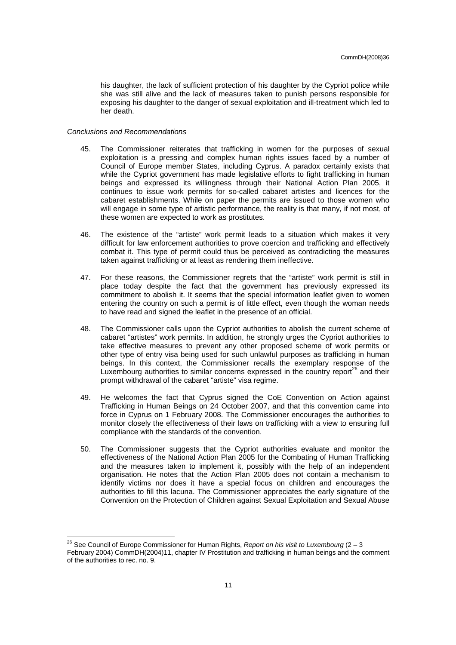his daughter, the lack of sufficient protection of his daughter by the Cypriot police while she was still alive and the lack of measures taken to punish persons responsible for exposing his daughter to the danger of sexual exploitation and ill-treatment which led to her death.

#### Conclusions and Recommendations

- 45. The Commissioner reiterates that trafficking in women for the purposes of sexual exploitation is a pressing and complex human rights issues faced by a number of Council of Europe member States, including Cyprus. A paradox certainly exists that while the Cypriot government has made legislative efforts to fight trafficking in human beings and expressed its willingness through their National Action Plan 2005, it continues to issue work permits for so-called cabaret artistes and licences for the cabaret establishments. While on paper the permits are issued to those women who will engage in some type of artistic performance, the reality is that many, if not most, of these women are expected to work as prostitutes.
- 46. The existence of the "artiste" work permit leads to a situation which makes it very difficult for law enforcement authorities to prove coercion and trafficking and effectively combat it. This type of permit could thus be perceived as contradicting the measures taken against trafficking or at least as rendering them ineffective.
- 47. For these reasons, the Commissioner regrets that the "artiste" work permit is still in place today despite the fact that the government has previously expressed its commitment to abolish it. It seems that the special information leaflet given to women entering the country on such a permit is of little effect, even though the woman needs to have read and signed the leaflet in the presence of an official.
- 48. The Commissioner calls upon the Cypriot authorities to abolish the current scheme of cabaret "artistes" work permits. In addition, he strongly urges the Cypriot authorities to take effective measures to prevent any other proposed scheme of work permits or other type of entry visa being used for such unlawful purposes as trafficking in human beings. In this context, the Commissioner recalls the exemplary response of the Luxembourg authorities to similar concerns expressed in the country report<sup>26</sup> and their prompt withdrawal of the cabaret "artiste" visa regime.
- 49. He welcomes the fact that Cyprus signed the CoE Convention on Action against Trafficking in Human Beings on 24 October 2007, and that this convention came into force in Cyprus on 1 February 2008. The Commissioner encourages the authorities to monitor closely the effectiveness of their laws on trafficking with a view to ensuring full compliance with the standards of the convention.
- 50. The Commissioner suggests that the Cypriot authorities evaluate and monitor the effectiveness of the National Action Plan 2005 for the Combating of Human Trafficking and the measures taken to implement it, possibly with the help of an independent organisation. He notes that the Action Plan 2005 does not contain a mechanism to identify victims nor does it have a special focus on children and encourages the authorities to fill this lacuna. The Commissioner appreciates the early signature of the Convention on the Protection of Children against Sexual Exploitation and Sexual Abuse

l <sup>26</sup> See Council of Europe Commissioner for Human Rights, Report on his visit to Luxembourg (2 – 3 February 2004) CommDH(2004)11, chapter IV Prostitution and trafficking in human beings and the comment of the authorities to rec. no. 9.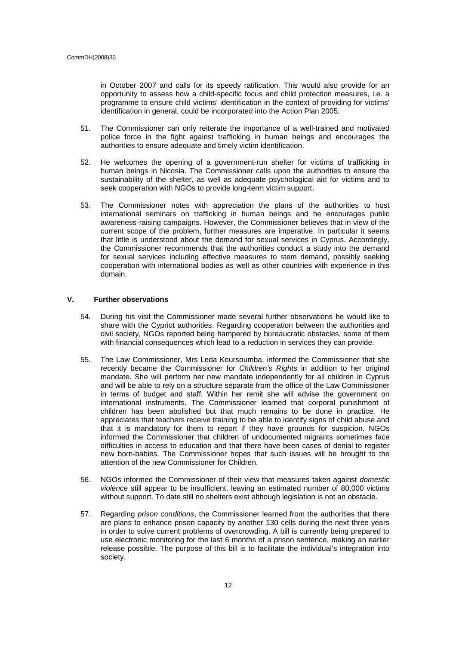in October 2007 and calls for its speedy ratification. This would also provide for an opportunity to assess how a child-specific focus and child protection measures, i.e. a programme to ensure child victims' identification in the context of providing for victims' identification in general, could be incorporated into the Action Plan 2005.

- 51. The Commissioner can only reiterate the importance of a well-trained and motivated police force in the fight against trafficking in human beings and encourages the authorities to ensure adequate and timely victim identification.
- 52. He welcomes the opening of a government-run shelter for victims of trafficking in human beings in Nicosia. The Commissioner calls upon the authorities to ensure the sustainability of the shelter, as well as adequate psychological aid for victims and to seek cooperation with NGOs to provide long-term victim support.
- 53. The Commissioner notes with appreciation the plans of the authorities to host international seminars on trafficking in human beings and he encourages public awareness-raising campaigns. However, the Commissioner believes that in view of the current scope of the problem, further measures are imperative. In particular it seems that little is understood about the demand for sexual services in Cyprus. Accordingly, the Commissioner recommends that the authorities conduct a study into the demand for sexual services including effective measures to stem demand, possibly seeking cooperation with international bodies as well as other countries with experience in this domain.

# **V. Further observations**

- 54. During his visit the Commissioner made several further observations he would like to share with the Cypriot authorities. Regarding cooperation between the authorities and civil society, NGOs reported being hampered by bureaucratic obstacles, some of them with financial consequences which lead to a reduction in services they can provide.
- 55. The Law Commissioner, Mrs Leda Koursoumba, informed the Commissioner that she recently became the Commissioner for *Children's Rights* in addition to her original mandate. She will perform her new mandate independently for all children in Cyprus and will be able to rely on a structure separate from the office of the Law Commissioner in terms of budget and staff. Within her remit she will advise the government on international instruments. The Commissioner learned that corporal punishment of children has been abolished but that much remains to be done in practice. He appreciates that teachers receive training to be able to identify signs of child abuse and that it is mandatory for them to report if they have grounds for suspicion. NGOs informed the Commissioner that children of undocumented migrants sometimes face difficulties in access to education and that there have been cases of denial to register new born-babies. The Commissioner hopes that such issues will be brought to the attention of the new Commissioner for Children.
- 56. NGOs informed the Commissioner of their view that measures taken against domestic violence still appear to be insufficient, leaving an estimated number of 80,000 victims without support. To date still no shelters exist although legislation is not an obstacle.
- 57. Regarding *prison conditions*, the Commissioner learned from the authorities that there are plans to enhance prison capacity by another 130 cells during the next three years in order to solve current problems of overcrowding. A bill is currently being prepared to use electronic monitoring for the last 6 months of a prison sentence, making an earlier release possible. The purpose of this bill is to facilitate the individual's integration into society.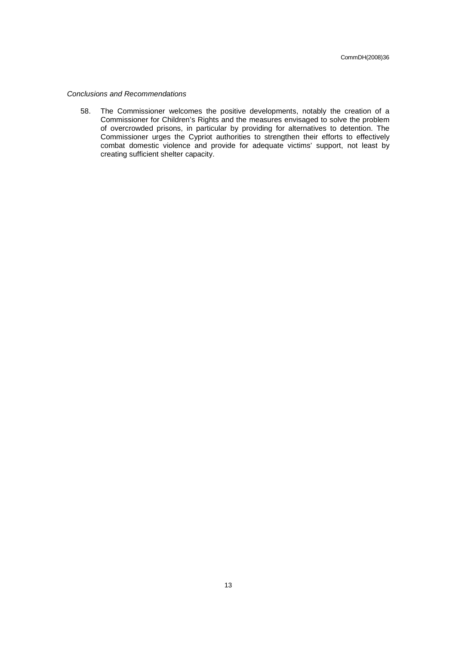# Conclusions and Recommendations

58. The Commissioner welcomes the positive developments, notably the creation of a Commissioner for Children's Rights and the measures envisaged to solve the problem of overcrowded prisons, in particular by providing for alternatives to detention. The Commissioner urges the Cypriot authorities to strengthen their efforts to effectively combat domestic violence and provide for adequate victims' support, not least by creating sufficient shelter capacity.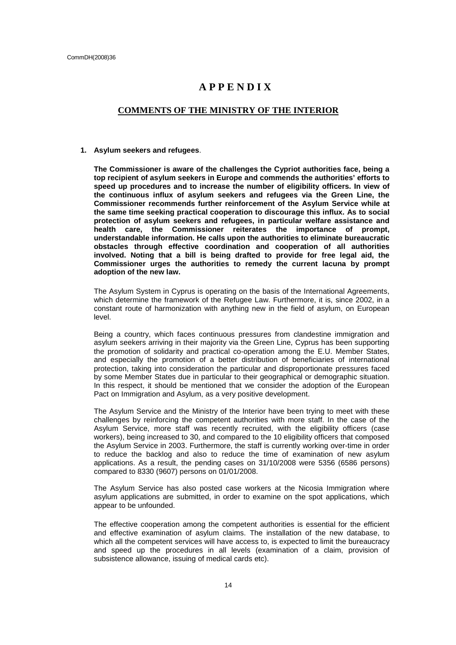# **A P P E N D I X**

# **COMMENTS OF THE MINISTRY OF THE INTERIOR**

#### **1. Asylum seekers and refugees**.

**The Commissioner is aware of the challenges the Cypriot authorities face, being a top recipient of asylum seekers in Europe and commends the authorities' efforts to speed up procedures and to increase the number of eligibility officers. In view of the continuous influx of asylum seekers and refugees via the Green Line, the Commissioner recommends further reinforcement of the Asylum Service while at the same time seeking practical cooperation to discourage this influx. As to social protection of asylum seekers and refugees, in particular welfare assistance and health care, the Commissioner reiterates the importance of prompt, understandable information. He calls upon the authorities to eliminate bureaucratic obstacles through effective coordination and cooperation of all authorities involved. Noting that a bill is being drafted to provide for free legal aid, the Commissioner urges the authorities to remedy the current lacuna by prompt adoption of the new law.** 

The Asylum System in Cyprus is operating on the basis of the International Agreements, which determine the framework of the Refugee Law. Furthermore, it is, since 2002, in a constant route of harmonization with anything new in the field of asylum, on European level.

Being a country, which faces continuous pressures from clandestine immigration and asylum seekers arriving in their majority via the Green Line, Cyprus has been supporting the promotion of solidarity and practical co-operation among the E.U. Member States, and especially the promotion of a better distribution of beneficiaries of international protection, taking into consideration the particular and disproportionate pressures faced by some Member States due in particular to their geographical or demographic situation. In this respect, it should be mentioned that we consider the adoption of the European Pact on Immigration and Asylum, as a very positive development.

The Asylum Service and the Ministry of the Interior have been trying to meet with these challenges by reinforcing the competent authorities with more staff. In the case of the Asylum Service, more staff was recently recruited, with the eligibility officers (case workers), being increased to 30, and compared to the 10 eligibility officers that composed the Asylum Service in 2003. Furthermore, the staff is currently working over-time in order to reduce the backlog and also to reduce the time of examination of new asylum applications. As a result, the pending cases on 31/10/2008 were 5356 (6586 persons) compared to 8330 (9607) persons on 01/01/2008.

The Asylum Service has also posted case workers at the Nicosia Immigration where asylum applications are submitted, in order to examine on the spot applications, which appear to be unfounded.

The effective cooperation among the competent authorities is essential for the efficient and effective examination of asylum claims. The installation of the new database, to which all the competent services will have access to, is expected to limit the bureaucracy and speed up the procedures in all levels (examination of a claim, provision of subsistence allowance, issuing of medical cards etc).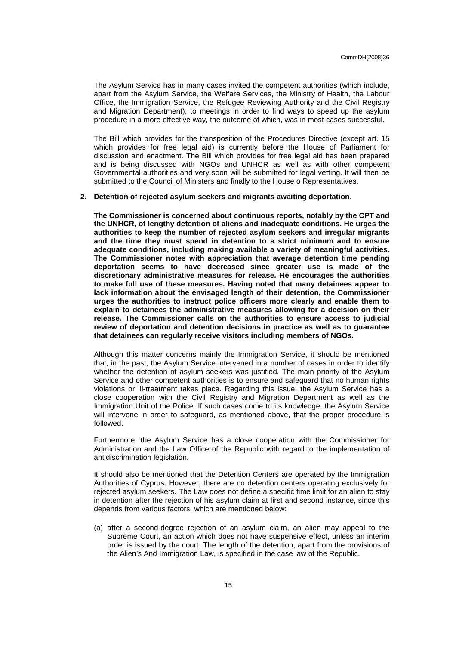The Asylum Service has in many cases invited the competent authorities (which include, apart from the Asylum Service, the Welfare Services, the Ministry of Health, the Labour Office, the Immigration Service, the Refugee Reviewing Authority and the Civil Registry and Migration Department), to meetings in order to find ways to speed up the asylum procedure in a more effective way, the outcome of which, was in most cases successful.

The Bill which provides for the transposition of the Procedures Directive (except art. 15 which provides for free legal aid) is currently before the House of Parliament for discussion and enactment. The Bill which provides for free legal aid has been prepared and is being discussed with NGOs and UNHCR as well as with other competent Governmental authorities and very soon will be submitted for legal vetting. It will then be submitted to the Council of Ministers and finally to the House o Representatives.

#### **2. Detention of rejected asylum seekers and migrants awaiting deportation**.

**The Commissioner is concerned about continuous reports, notably by the CPT and the UNHCR, of lengthy detention of aliens and inadequate conditions. He urges the authorities to keep the number of rejected asylum seekers and irregular migrants and the time they must spend in detention to a strict minimum and to ensure adequate conditions, including making available a variety of meaningful activities. The Commissioner notes with appreciation that average detention time pending deportation seems to have decreased since greater use is made of the discretionary administrative measures for release. He encourages the authorities to make full use of these measures. Having noted that many detainees appear to lack information about the envisaged length of their detention, the Commissioner urges the authorities to instruct police officers more clearly and enable them to explain to detainees the administrative measures allowing for a decision on their release. The Commissioner calls on the authorities to ensure access to judicial review of deportation and detention decisions in practice as well as to guarantee that detainees can regularly receive visitors including members of NGOs.** 

Although this matter concerns mainly the Immigration Service, it should be mentioned that, in the past, the Asylum Service intervened in a number of cases in order to identify whether the detention of asylum seekers was justified. The main priority of the Asylum Service and other competent authorities is to ensure and safeguard that no human rights violations or ill-treatment takes place. Regarding this issue, the Asylum Service has a close cooperation with the Civil Registry and Migration Department as well as the Immigration Unit of the Police. If such cases come to its knowledge, the Asylum Service will intervene in order to safeguard, as mentioned above, that the proper procedure is followed.

Furthermore, the Asylum Service has a close cooperation with the Commissioner for Administration and the Law Office of the Republic with regard to the implementation of antidiscrimination legislation.

It should also be mentioned that the Detention Centers are operated by the Immigration Authorities of Cyprus. However, there are no detention centers operating exclusively for rejected asylum seekers. The Law does not define a specific time limit for an alien to stay in detention after the rejection of his asylum claim at first and second instance, since this depends from various factors, which are mentioned below:

(a) after a second-degree rejection of an asylum claim, an alien may appeal to the Supreme Court, an action which does not have suspensive effect, unless an interim order is issued by the court. The length of the detention, apart from the provisions of the Alien's And Immigration Law, is specified in the case law of the Republic.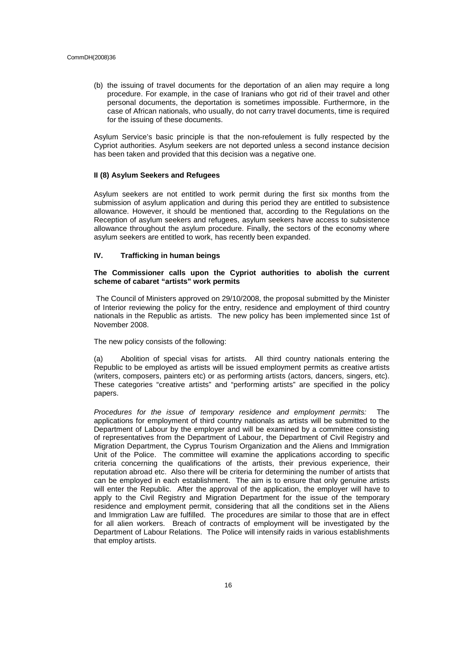(b) the issuing of travel documents for the deportation of an alien may require a long procedure. For example, in the case of Iranians who got rid of their travel and other personal documents, the deportation is sometimes impossible. Furthermore, in the case of African nationals, who usually, do not carry travel documents, time is required for the issuing of these documents.

Asylum Service's basic principle is that the non-refoulement is fully respected by the Cypriot authorities. Asylum seekers are not deported unless a second instance decision has been taken and provided that this decision was a negative one.

# **II (8) Asylum Seekers and Refugees**

Asylum seekers are not entitled to work permit during the first six months from the submission of asylum application and during this period they are entitled to subsistence allowance. However, it should be mentioned that, according to the Regulations on the Reception of asylum seekers and refugees, asylum seekers have access to subsistence allowance throughout the asylum procedure. Finally, the sectors of the economy where asylum seekers are entitled to work, has recently been expanded.

# **IV. Trafficking in human beings**

# **The Commissioner calls upon the Cypriot authorities to abolish the current scheme of cabaret "artists" work permits**

The Council of Ministers approved on 29/10/2008, the proposal submitted by the Minister of Interior reviewing the policy for the entry, residence and employment of third country nationals in the Republic as artists. The new policy has been implemented since 1st of November 2008.

The new policy consists of the following:

(a) Abolition of special visas for artists. All third country nationals entering the Republic to be employed as artists will be issued employment permits as creative artists (writers, composers, painters etc) or as performing artists (actors, dancers, singers, etc). These categories "creative artists" and "performing artists" are specified in the policy papers.

Procedures for the issue of temporary residence and employment permits: The applications for employment of third country nationals as artists will be submitted to the Department of Labour by the employer and will be examined by a committee consisting of representatives from the Department of Labour, the Department of Civil Registry and Migration Department, the Cyprus Tourism Organization and the Aliens and Immigration Unit of the Police. The committee will examine the applications according to specific criteria concerning the qualifications of the artists, their previous experience, their reputation abroad etc. Also there will be criteria for determining the number of artists that can be employed in each establishment. The aim is to ensure that only genuine artists will enter the Republic. After the approval of the application, the employer will have to apply to the Civil Registry and Migration Department for the issue of the temporary residence and employment permit, considering that all the conditions set in the Aliens and Immigration Law are fulfilled. The procedures are similar to those that are in effect for all alien workers. Breach of contracts of employment will be investigated by the Department of Labour Relations. The Police will intensify raids in various establishments that employ artists.